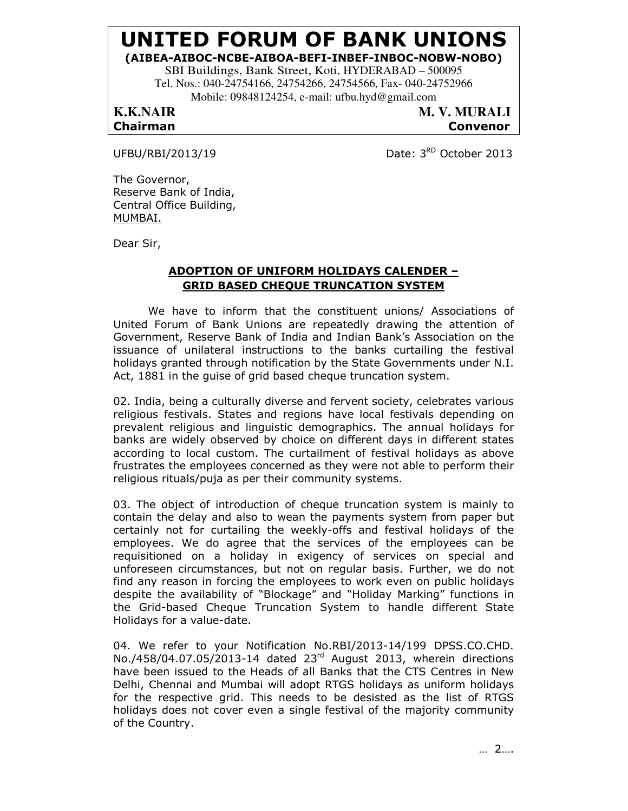# UNITED FORUM OF BANK UNIONS

## (AIBEA-AIBOC-NCBE-AIBOA-BEFI-INBEF-INBOC-NOBW-NOBO)

SBI Buildings, Bank Street, Koti, HYDERABAD – 500095 Tel. Nos.: 040-24754166, 24754266, 24754566, Fax- 040-24752966 Mobile: 09848124254, e-mail: ufbu.hyd@gmail.com

**K.K.NAIR M. V. MURALI** Chairman Convenor

UFBU/RBI/2013/19 Date:  $3<sup>RD</sup>$  October 2013

The Governor, Reserve Bank of India, Central Office Building, MUMBAI.

Dear Sir,

# ADOPTION OF UNIFORM HOLIDAYS CALENDER – GRID BASED CHEQUE TRUNCATION SYSTEM

 We have to inform that the constituent unions/ Associations of United Forum of Bank Unions are repeatedly drawing the attention of Government, Reserve Bank of India and Indian Bank's Association on the issuance of unilateral instructions to the banks curtailing the festival holidays granted through notification by the State Governments under N.I. Act, 1881 in the guise of grid based cheque truncation system.

02. India, being a culturally diverse and fervent society, celebrates various religious festivals. States and regions have local festivals depending on prevalent religious and linguistic demographics. The annual holidays for banks are widely observed by choice on different days in different states according to local custom. The curtailment of festival holidays as above frustrates the employees concerned as they were not able to perform their religious rituals/puja as per their community systems.

03. The object of introduction of cheque truncation system is mainly to contain the delay and also to wean the payments system from paper but certainly not for curtailing the weekly-offs and festival holidays of the employees. We do agree that the services of the employees can be requisitioned on a holiday in exigency of services on special and unforeseen circumstances, but not on regular basis. Further, we do not find any reason in forcing the employees to work even on public holidays despite the availability of "Blockage" and "Holiday Marking" functions in the Grid-based Cheque Truncation System to handle different State Holidays for a value-date.

04. We refer to your Notification No.RBI/2013-14/199 DPSS.CO.CHD. No./458/04.07.05/2013-14 dated 23rd August 2013, wherein directions have been issued to the Heads of all Banks that the CTS Centres in New Delhi, Chennai and Mumbai will adopt RTGS holidays as uniform holidays for the respective grid. This needs to be desisted as the list of RTGS holidays does not cover even a single festival of the majority community of the Country.